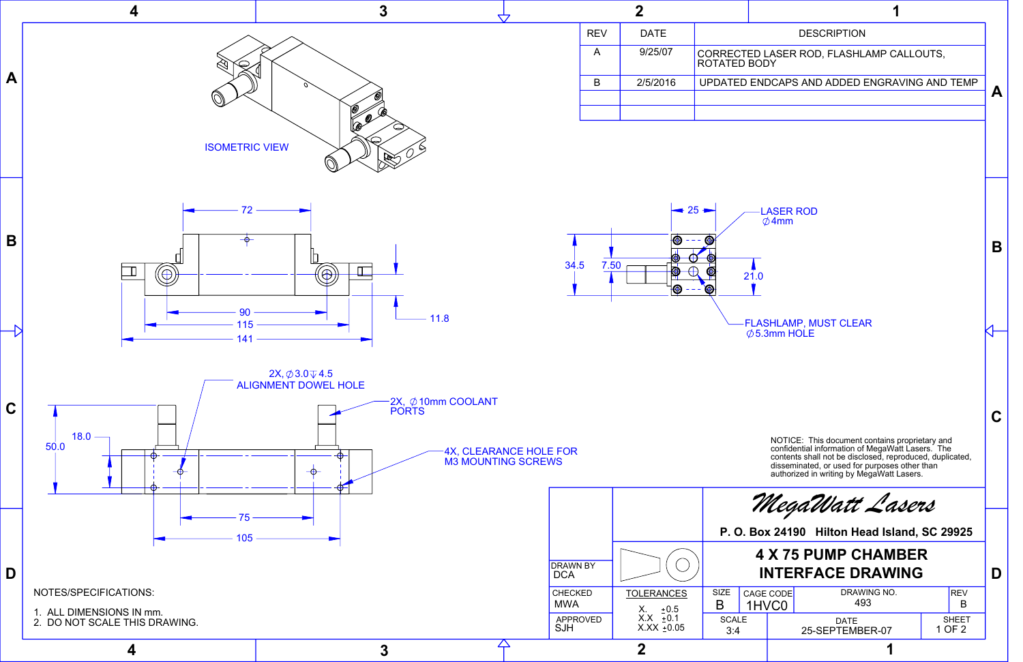

## 21.0 LASER ROD  $\emptyset$ 4mm FLASHLAMP, MUST CLEAR  $\emptyset$  5.3mm HOLE A | 9/25/07 | CORRECTED LASER ROD, FLASHLAMP CALLOUTS, B 2/5/2016 UPDATED ENDCAPS AND ADDED ENGRAVING AND TEMP **A B C** SIZE CAGE CODE DRAWING NO.<br>B 1HVCO 493 B SCALE | DATE | SHEET 1HVC0 **P. O. Box 24190 Hilton Head Island, SC 29925** *MegaWatt Lasers* 493 **4 X 75 PUMP CHAMBER** NOTICE: This document contains proprietary and confidential information of MegaWatt Lasers. The contents shall not be disclosed, reproduced, duplicated, disseminated, or used for purposes other than authorized in writing by MegaWatt Lasers.